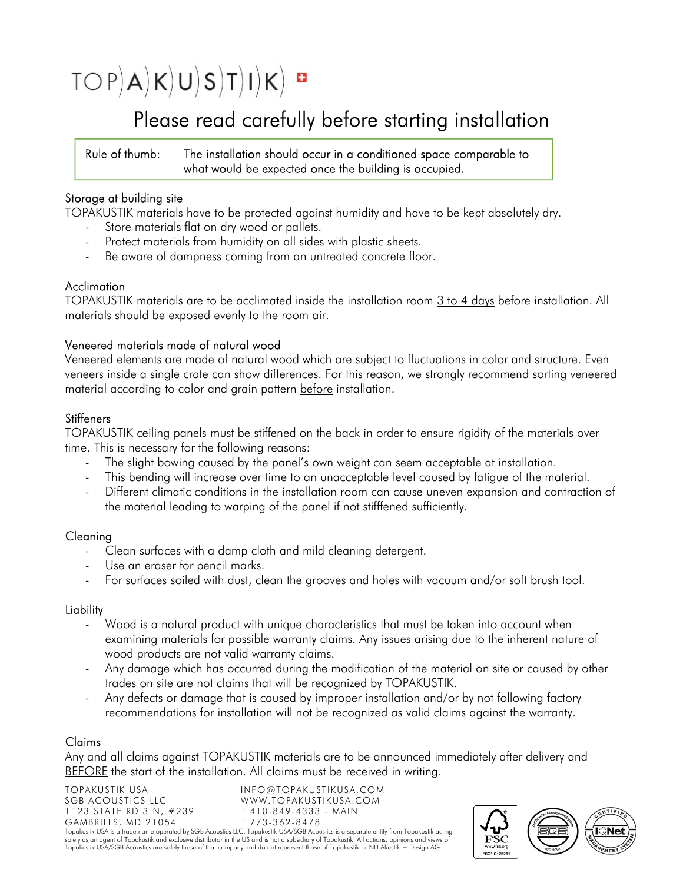# $TOP(A|K|U|S|T|I|K)$

## Please read carefully before starting installation

#### Rule of thumb: The installation should occur in a conditioned space comparable to what would be expected once the building is occupied.

#### Storage at building site

TOPAKUSTIK materials have to be protected against humidity and have to be kept absolutely dry.

- Store materials flat on dry wood or pallets.
- Protect materials from humidity on all sides with plastic sheets.
- Be aware of dampness coming from an untreated concrete floor.

#### Acclimation

TOPAKUSTIK materials are to be acclimated inside the installation room 3 to 4 days before installation. All materials should be exposed evenly to the room air.

#### Veneered materials made of natural wood

Veneered elements are made of natural wood which are subject to fluctuations in color and structure. Even veneers inside a single crate can show differences. For this reason, we strongly recommend sorting veneered material according to color and grain pattern before installation.

#### **Stiffeners**

TOPAKUSTIK ceiling panels must be stiffened on the back in order to ensure rigidity of the materials over time. This is necessary for the following reasons:

- The slight bowing caused by the panel's own weight can seem acceptable at installation.
- This bending will increase over time to an unacceptable level caused by fatigue of the material.
- Different climatic conditions in the installation room can cause uneven expansion and contraction of the material leading to warping of the panel if not stifffened sufficiently.

#### Cleaning

- Clean surfaces with a damp cloth and mild cleaning detergent.
- Use an eraser for pencil marks.
- For surfaces soiled with dust, clean the grooves and holes with vacuum and/or soft brush tool.

#### Liability

- Wood is a natural product with unique characteristics that must be taken into account when examining materials for possible warranty claims. Any issues arising due to the inherent nature of wood products are not valid warranty claims.
- Any damage which has occurred during the modification of the material on site or caused by other trades on site are not claims that will be recognized by TOPAKUSTIK.
- Any defects or damage that is caused by improper installation and/or by not following factory recommendations for installation will not be recognized as valid claims against the warranty.

### Claims

Any and all claims against TOPAKUSTIK materials are to be announced immediately after delivery and BEFORE the start of the installation. All claims must be received in writing.

TOPAKUSTIK USA INFO@TOPAKUSTIKUSA.COM WWW.TOPAKUSTIKUSA.COM 1123 STATE RD 3 N, #239 T 410-849-4333 - MAIN<br>GAMBRILLS. MD 21054 T 773-362-8478 GAMBRILLS, MD 21054 Topakustik USA is a trade name operated by SGB Acoustics LLC. Topakustik USA/SGB Acoustics is a separate entity from Topakustik acting solely as an agent of Topakustik and exclusive distributor in the US and is not a subsidiary of Topakustik. All actions, opinions and views of Topakustik USA/SGB Acoustics are solely those of that company and do not represent those of Topakustik or NH Akustik + Design AG